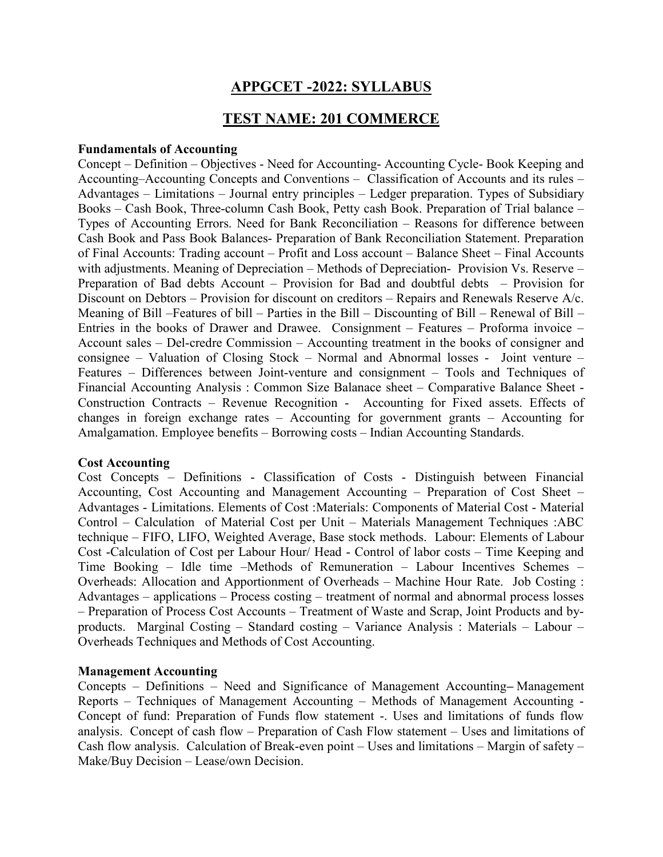# APPGCET -2022: SYLLABUS

# TEST NAME: 201 COMMERCE

#### Fundamentals of Accounting

Concept – Definition – Objectives - Need for Accounting- Accounting Cycle- Book Keeping and Accounting–Accounting Concepts and Conventions – Classification of Accounts and its rules – Advantages – Limitations – Journal entry principles – Ledger preparation. Types of Subsidiary Books – Cash Book, Three-column Cash Book, Petty cash Book. Preparation of Trial balance – Types of Accounting Errors. Need for Bank Reconciliation – Reasons for difference between Cash Book and Pass Book Balances- Preparation of Bank Reconciliation Statement. Preparation of Final Accounts: Trading account – Profit and Loss account – Balance Sheet – Final Accounts with adjustments. Meaning of Depreciation – Methods of Depreciation- Provision Vs. Reserve – Preparation of Bad debts Account – Provision for Bad and doubtful debts – Provision for Discount on Debtors – Provision for discount on creditors – Repairs and Renewals Reserve A/c. Meaning of Bill –Features of bill – Parties in the Bill – Discounting of Bill – Renewal of Bill – Entries in the books of Drawer and Drawee. Consignment – Features – Proforma invoice – Account sales – Del-credre Commission – Accounting treatment in the books of consigner and consignee – Valuation of Closing Stock – Normal and Abnormal losses - Joint venture – Features – Differences between Joint-venture and consignment – Tools and Techniques of Financial Accounting Analysis : Common Size Balanace sheet – Comparative Balance Sheet - Construction Contracts – Revenue Recognition - Accounting for Fixed assets. Effects of changes in foreign exchange rates – Accounting for government grants – Accounting for Amalgamation. Employee benefits – Borrowing costs – Indian Accounting Standards.

#### Cost Accounting

Cost Concepts – Definitions - Classification of Costs - Distinguish between Financial Accounting, Cost Accounting and Management Accounting – Preparation of Cost Sheet – Advantages - Limitations. Elements of Cost :Materials: Components of Material Cost - Material Control – Calculation of Material Cost per Unit – Materials Management Techniques :ABC technique – FIFO, LIFO, Weighted Average, Base stock methods. Labour: Elements of Labour Cost -Calculation of Cost per Labour Hour/ Head - Control of labor costs – Time Keeping and Time Booking – Idle time –Methods of Remuneration – Labour Incentives Schemes – Overheads: Allocation and Apportionment of Overheads – Machine Hour Rate. Job Costing : Advantages – applications – Process costing – treatment of normal and abnormal process losses – Preparation of Process Cost Accounts – Treatment of Waste and Scrap, Joint Products and byproducts. Marginal Costing – Standard costing – Variance Analysis : Materials – Labour – Overheads Techniques and Methods of Cost Accounting.

#### Management Accounting

Concepts – Definitions – Need and Significance of Management Accounting– Management Reports – Techniques of Management Accounting – Methods of Management Accounting - Concept of fund: Preparation of Funds flow statement -. Uses and limitations of funds flow analysis. Concept of cash flow – Preparation of Cash Flow statement – Uses and limitations of Cash flow analysis. Calculation of Break-even point – Uses and limitations – Margin of safety – Make/Buy Decision – Lease/own Decision.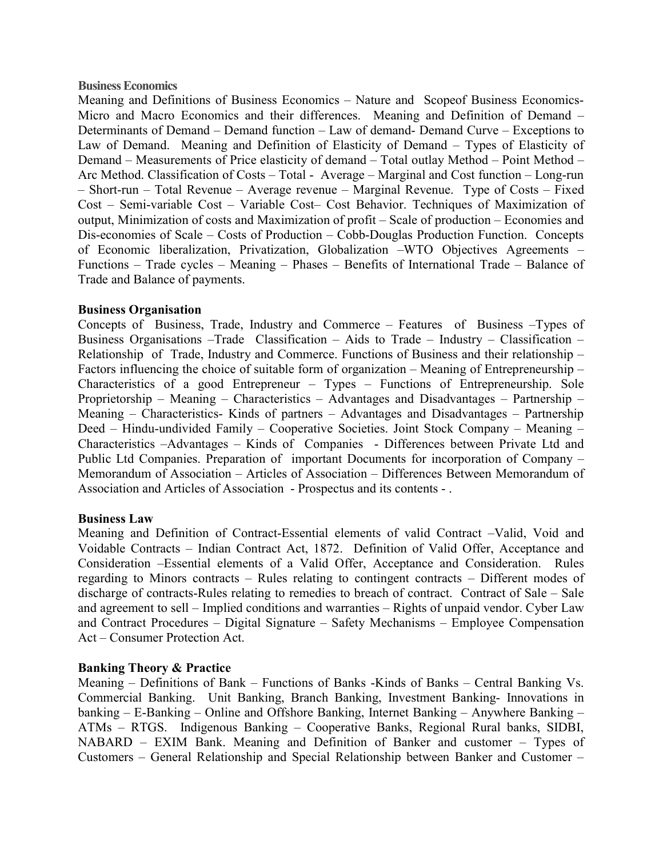#### Business Economics

Meaning and Definitions of Business Economics – Nature and Scopeof Business Economics-Micro and Macro Economics and their differences. Meaning and Definition of Demand – Determinants of Demand – Demand function – Law of demand- Demand Curve – Exceptions to Law of Demand. Meaning and Definition of Elasticity of Demand – Types of Elasticity of Demand – Measurements of Price elasticity of demand – Total outlay Method – Point Method – Arc Method. Classification of Costs – Total - Average – Marginal and Cost function – Long-run – Short-run – Total Revenue – Average revenue – Marginal Revenue. Type of Costs – Fixed Cost – Semi-variable Cost – Variable Cost– Cost Behavior. Techniques of Maximization of output, Minimization of costs and Maximization of profit – Scale of production – Economies and Dis-economies of Scale – Costs of Production – Cobb-Douglas Production Function. Concepts of Economic liberalization, Privatization, Globalization –WTO Objectives Agreements – Functions – Trade cycles – Meaning – Phases – Benefits of International Trade – Balance of Trade and Balance of payments.

#### Business Organisation

Concepts of Business, Trade, Industry and Commerce – Features of Business –Types of Business Organisations –Trade Classification – Aids to Trade – Industry – Classification – Relationship of Trade, Industry and Commerce. Functions of Business and their relationship – Factors influencing the choice of suitable form of organization – Meaning of Entrepreneurship – Characteristics of a good Entrepreneur – Types – Functions of Entrepreneurship. Sole Proprietorship – Meaning – Characteristics – Advantages and Disadvantages – Partnership – Meaning – Characteristics- Kinds of partners – Advantages and Disadvantages – Partnership Deed – Hindu-undivided Family – Cooperative Societies. Joint Stock Company – Meaning – Characteristics –Advantages – Kinds of Companies - Differences between Private Ltd and Public Ltd Companies. Preparation of important Documents for incorporation of Company – Memorandum of Association – Articles of Association – Differences Between Memorandum of Association and Articles of Association - Prospectus and its contents - .

#### Business Law

Meaning and Definition of Contract-Essential elements of valid Contract –Valid, Void and Voidable Contracts – Indian Contract Act, 1872. Definition of Valid Offer, Acceptance and Consideration –Essential elements of a Valid Offer, Acceptance and Consideration. Rules regarding to Minors contracts – Rules relating to contingent contracts – Different modes of discharge of contracts-Rules relating to remedies to breach of contract. Contract of Sale – Sale and agreement to sell – Implied conditions and warranties – Rights of unpaid vendor. Cyber Law and Contract Procedures – Digital Signature – Safety Mechanisms – Employee Compensation Act – Consumer Protection Act.

### Banking Theory & Practice

Meaning – Definitions of Bank – Functions of Banks -Kinds of Banks – Central Banking Vs. Commercial Banking. Unit Banking, Branch Banking, Investment Banking- Innovations in banking – E-Banking – Online and Offshore Banking, Internet Banking – Anywhere Banking – ATMs – RTGS. Indigenous Banking – Cooperative Banks, Regional Rural banks, SIDBI, NABARD – EXIM Bank. Meaning and Definition of Banker and customer – Types of Customers – General Relationship and Special Relationship between Banker and Customer –